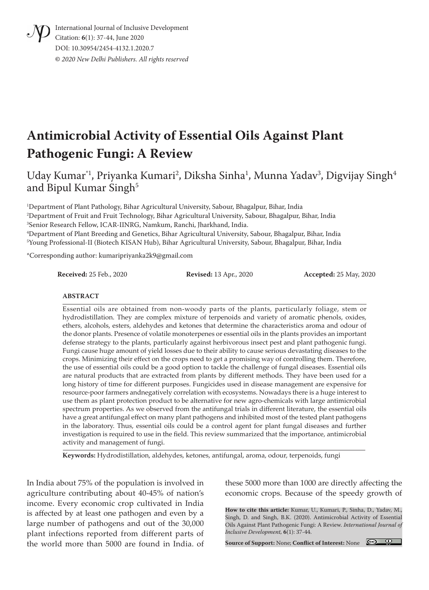International Journal of Inclusive Development Citation: **6**(1): 37-44, June 2020 DOI: 10.30954/2454-4132.1.2020.7 **©** *2020 New Delhi Publishers. All rights reserved*

# **Antimicrobial Activity of Essential Oils Against Plant Pathogenic Fungi: A Review**

Uday Kumar $^{\text{*1}}$ , Priyanka Kumari $^{\text{*2}}$ , Diksha Sinha $^{\text{-1}}$ , Munna Yadav $^{\text{*3}}$ , Digvijay Singh $^{\text{4}}$ and Bipul Kumar Singh<sup>5</sup>

 Department of Plant Pathology, Bihar Agricultural University, Sabour, Bhagalpur, Bihar, India Department of Fruit and Fruit Technology, Bihar Agricultural University, Sabour, Bhagalpur, Bihar, India Senior Research Fellow, ICAR-IINRG, Namkum, Ranchi, Jharkhand, India. Department of Plant Breeding and Genetics, Bihar Agricultural University, Sabour, Bhagalpur, Bihar, India Young Professional-II (Biotech KISAN Hub), Bihar Agricultural University, Sabour, Bhagalpur, Bihar, India

\*Corresponding author: kumaripriyanka2k9@gmail.com

**Received:** 25 Feb., 2020 **Revised:** 13 Apr., 2020 **Accepted:** 25 May, 2020

#### **ABSTRACT**

Essential oils are obtained from non-woody parts of the plants, particularly foliage, stem or hydrodistillation. They are complex mixture of terpenoids and variety of aromatic phenols, oxides, ethers, alcohols, esters, aldehydes and ketones that determine the characteristics aroma and odour of the donor plants. Presence of volatile monoterpenes or essential oils in the plants provides an important defense strategy to the plants, particularly against herbivorous insect pest and plant pathogenic fungi. Fungi cause huge amount of yield losses due to their ability to cause serious devastating diseases to the crops. Minimizing their effect on the crops need to get a promising way of controlling them. Therefore, the use of essential oils could be a good option to tackle the challenge of fungal diseases. Essential oils are natural products that are extracted from plants by different methods. They have been used for a long history of time for different purposes. Fungicides used in disease management are expensive for resource-poor farmers andnegatively correlation with ecosystems. Nowadays there is a huge interest to use them as plant protection product to be alternative for new agro-chemicals with large antimicrobial spectrum properties. As we observed from the antifungal trials in different literature, the essential oils have a great antifungal effect on many plant pathogens and inhibited most of the tested plant pathogens in the laboratory. Thus, essential oils could be a control agent for plant fungal diseases and further investigation is required to use in the field. This review summarized that the importance, antimicrobial activity and management of fungi.

**Keywords:** Hydrodistillation, aldehydes, ketones, antifungal, aroma, odour, terpenoids, fungi

In India about 75% of the population is involved in agriculture contributing about 40-45% of nation's income. Every economic crop cultivated in India is affected by at least one pathogen and even by a large number of pathogens and out of the 30,000 plant infections reported from different parts of the world more than 5000 are found in India. of

these 5000 more than 1000 are directly affecting the economic crops. Because of the speedy growth of

**How to cite this article:** Kumar, U., Kumari, P., Sinha, D., Yadav, M., Singh, D. and Singh, B.K. (2020). Antimicrobial Activity of Essential Oils Against Plant Pathogenic Fungi: A Review. *International Journal of Inclusive Development,* **6**(1): 37-44.

**Source of Support:** None; **Conflict of Interest:** None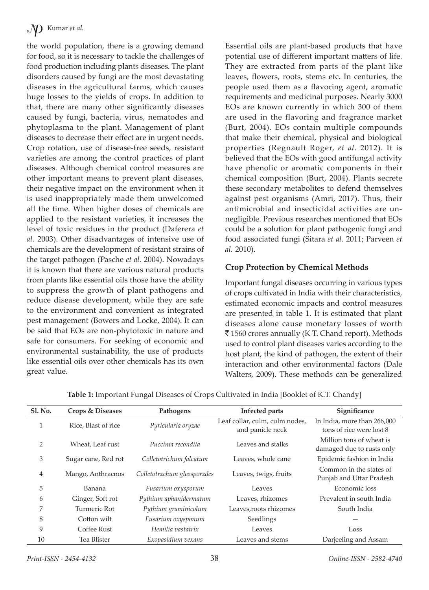the world population, there is a growing demand for food, so it is necessary to tackle the challenges of food production including plants diseases. The plant disorders caused by fungi are the most devastating diseases in the agricultural farms, which causes huge losses to the yields of crops. In addition to that, there are many other significantly diseases caused by fungi, bacteria, virus, nematodes and phytoplasma to the plant. Management of plant diseases to decrease their effect are in urgent needs. Crop rotation, use of disease-free seeds, resistant varieties are among the control practices of plant diseases. Although chemical control measures are other important means to prevent plant diseases, their negative impact on the environment when it is used inappropriately made them unwelcomed all the time. When higher doses of chemicals are applied to the resistant varieties, it increases the level of toxic residues in the product (Daferera *et al.* 2003). Other disadvantages of intensive use of chemicals are the development of resistant strains of the target pathogen (Pasche *et al.* 2004). Nowadays it is known that there are various natural products from plants like essential oils those have the ability to suppress the growth of plant pathogens and reduce disease development, while they are safe to the environment and convenient as integrated pest management (Bowers and Locke, 2004). It can be said that EOs are non-phytotoxic in nature and safe for consumers. For seeking of economic and environmental sustainability, the use of products like essential oils over other chemicals has its own great value.

Essential oils are plant-based products that have potential use of different important matters of life. They are extracted from parts of the plant like leaves, flowers, roots, stems etc. In centuries, the people used them as a flavoring agent, aromatic requirements and medicinal purposes. Nearly 3000 EOs are known currently in which 300 of them are used in the flavoring and fragrance market (Burt, 2004). EOs contain multiple compounds that make their chemical, physical and biological properties (Regnault Roger, *et al.* 2012). It is believed that the EOs with good antifungal activity have phenolic or aromatic components in their chemical composition (Burt, 2004). Plants secrete these secondary metabolites to defend themselves against pest organisms (Amri, 2017). Thus, their antimicrobial and insecticidal activities are unnegligible. Previous researches mentioned that EOs could be a solution for plant pathogenic fungi and food associated fungi (Sitara *et al.* 2011; Parveen *et al.* 2010).

#### **Crop Protection by Chemical Methods**

Important fungal diseases occurring in various types of crops cultivated in India with their characteristics, estimated economic impacts and control measures are presented in table 1. It is estimated that plant diseases alone cause monetary losses of worth ₹1560 crores annually (K T. Chand report). Methods used to control plant diseases varies according to the host plant, the kind of pathogen, the extent of their interaction and other environmental factors (Dale Walters, 2009). These methods can be generalized

| <b>Sl. No.</b> | <b>Crops &amp; Diseases</b> | Pathogens                   | Infected parts                                     | Significance                                            |
|----------------|-----------------------------|-----------------------------|----------------------------------------------------|---------------------------------------------------------|
|                | Rice, Blast of rice         | Pyricularia oryzae          | Leaf collar, culm, culm nodes,<br>and panicle neck | In India, more than 266,000<br>tons of rice were lost 8 |
| $\overline{2}$ | Wheat, Leaf rust            | Puccinia recondita          | Leaves and stalks                                  | Million tons of wheat is<br>damaged due to rusts only   |
| 3              | Sugar cane, Red rot         | Colletotrichum falcatum     | Leaves, whole cane                                 | Epidemic fashion in India                               |
| 4              | Mango, Anthracnos           | Colletotrzchum gleosporzdes | Leaves, twigs, fruits                              | Common in the states of<br>Punjab and Uttar Pradesh     |
| 5              | Banana                      | Fusarium oxysporum          | Leaves                                             | Economic loss                                           |
| 6              | Ginger, Soft rot            | Pythium aphanidermatum      | Leaves, rhizomes                                   | Prevalent in south India                                |
| 7              | Turmeric Rot                | Pythium graminicolum        | Leaves, roots rhizomes                             | South India                                             |
| 8              | Cotton wilt                 | Fusarium oxysponum          | Seedlings                                          |                                                         |
| 9              | Coffee Rust                 | Hemilia vastatrix           | Leaves                                             | Loss                                                    |
| 10             | Tea Blister                 | Exopasidium vexans          | Leaves and stems                                   | Darjeeling and Assam                                    |

**Table 1:** Important Fungal Diseases of Crops Cultivated in India [Booklet of K.T. Chandy]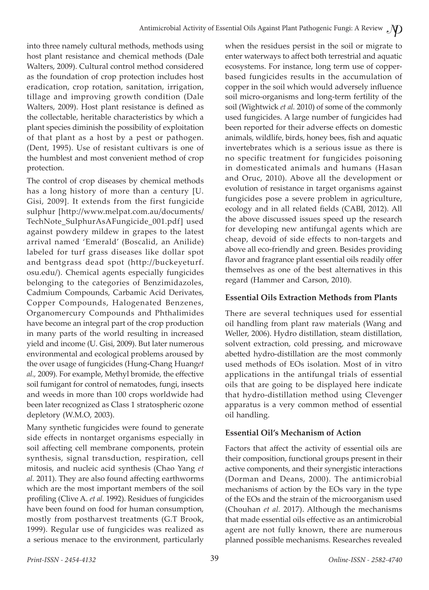into three namely cultural methods, methods using host plant resistance and chemical methods (Dale Walters, 2009). Cultural control method considered as the foundation of crop protection includes host eradication, crop rotation, sanitation, irrigation, tillage and improving growth condition (Dale Walters, 2009). Host plant resistance is defined as the collectable, heritable characteristics by which a plant species diminish the possibility of exploitation of that plant as a host by a pest or pathogen. (Dent, 1995). Use of resistant cultivars is one of the humblest and most convenient method of crop protection.

The control of crop diseases by chemical methods has a long history of more than a century [U. Gisi, 2009]. It extends from the first fungicide sulphur [http://www.melpat.com.au/documents/ TechNote\_SulphurAsAFungicide\_001.pdf] used against powdery mildew in grapes to the latest arrival named 'Emerald' (Boscalid, an Anilide) labeled for turf grass diseases like dollar spot and bentgrass dead spot (http://buckeyeturf. osu.edu/). Chemical agents especially fungicides belonging to the categories of Benzimidazoles, Cadmium Compounds, Carbamic Acid Derivates, Copper Compounds, Halogenated Benzenes, Organomercury Compounds and Phthalimides have become an integral part of the crop production in many parts of the world resulting in increased yield and income (U. Gisi, 2009). But later numerous environmental and ecological problems aroused by the over usage of fungicides (Hung-Chang Huang*et al.,* 2009). For example, Methyl bromide, the effective soil fumigant for control of nematodes, fungi, insects and weeds in more than 100 crops worldwide had been later recognized as Class 1 stratospheric ozone depletory (W.M.O, 2003).

Many synthetic fungicides were found to generate side effects in nontarget organisms especially in soil affecting cell membrane components, protein synthesis, signal transduction, respiration, cell mitosis, and nucleic acid synthesis (Chao Yang *et al.* 2011). They are also found affecting earthworms which are the most important members of the soil profiling (Clive A. *et al.* 1992). Residues of fungicides have been found on food for human consumption, mostly from postharvest treatments (G.T Brook, 1999). Regular use of fungicides was realized as a serious menace to the environment, particularly

when the residues persist in the soil or migrate to enter waterways to affect both terrestrial and aquatic ecosystems. For instance, long term use of copperbased fungicides results in the accumulation of copper in the soil which would adversely influence soil micro-organisms and long-term fertility of the soil (Wightwick *et al.* 2010) of some of the commonly used fungicides. A large number of fungicides had been reported for their adverse effects on domestic animals, wildlife, birds, honey bees, fish and aquatic invertebrates which is a serious issue as there is no specific treatment for fungicides poisoning in domesticated animals and humans (Hasan and Oruc, 2010). Above all the development or evolution of resistance in target organisms against fungicides pose a severe problem in agriculture, ecology and in all related fields (CABI, 2012). All the above discussed issues speed up the research for developing new antifungal agents which are cheap, devoid of side effects to non-targets and above all eco-friendly and green. Besides providing flavor and fragrance plant essential oils readily offer themselves as one of the best alternatives in this regard (Hammer and Carson, 2010).

### **Essential Oils Extraction Methods from Plants**

There are several techniques used for essential oil handling from plant raw materials (Wang and Weller, 2006). Hydro distillation, steam distillation, solvent extraction, cold pressing, and microwave abetted hydro-distillation are the most commonly used methods of EOs isolation. Most of in vitro applications in the antifungal trials of essential oils that are going to be displayed here indicate that hydro-distillation method using Clevenger apparatus is a very common method of essential oil handling.

#### **Essential Oil's Mechanism of Action**

Factors that affect the activity of essential oils are their composition, functional groups present in their active components, and their synergistic interactions (Dorman and Deans, 2000). The antimicrobial mechanisms of action by the EOs vary in the type of the EOs and the strain of the microorganism used (Chouhan *et al.* 2017). Although the mechanisms that made essential oils effective as an antimicrobial agent are not fully known, there are numerous planned possible mechanisms. Researches revealed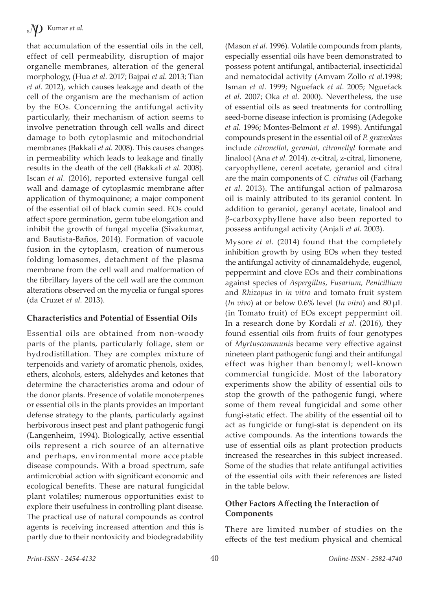that accumulation of the essential oils in the cell, effect of cell permeability, disruption of major organelle membranes, alteration of the general morphology, (Hua *et al.* 2017; Bajpai *et al.* 2013; Tian *et al*. 2012), which causes leakage and death of the cell of the organism are the mechanism of action by the EOs. Concerning the antifungal activity particularly, their mechanism of action seems to involve penetration through cell walls and direct damage to both cytoplasmic and mitochondrial membranes (Bakkali *et al.* 2008). This causes changes in permeability which leads to leakage and finally results in the death of the cell (Bakkali *et al.* 2008). Iscan *et al.* (2016), reported extensive fungal cell wall and damage of cytoplasmic membrane after application of thymoquinone; a major component of the essential oil of black cumin seed. EOs could affect spore germination, germ tube elongation and inhibit the growth of fungal mycelia (Sivakumar, and Bautista-Baños, 2014). Formation of vacuole fusion in the cytoplasm, creation of numerous folding lomasomes, detachment of the plasma membrane from the cell wall and malformation of the fibrillary layers of the cell wall are the common alterations observed on the mycelia or fungal spores (da Cruzet *et al.* 2013).

#### **Characteristics and Potential of Essential Oils**

Essential oils are obtained from non-woody parts of the plants, particularly foliage, stem or hydrodistillation. They are complex mixture of terpenoids and variety of aromatic phenols, oxides, ethers, alcohols, esters, aldehydes and ketones that determine the characteristics aroma and odour of the donor plants. Presence of volatile monoterpenes or essential oils in the plants provides an important defense strategy to the plants, particularly against herbivorous insect pest and plant pathogenic fungi (Langenheim, 1994). Biologically, active essential oils represent a rich source of an alternative and perhaps, environmental more acceptable disease compounds. With a broad spectrum, safe antimicrobial action with significant economic and ecological benefits. These are natural fungicidal plant volatiles; numerous opportunities exist to explore their usefulness in controlling plant disease. The practical use of natural compounds as control agents is receiving increased attention and this is partly due to their nontoxicity and biodegradability

(Mason *et al.* 1996). Volatile compounds from plants, especially essential oils have been demonstrated to possess potent antifungal, antibacterial, insecticidal and nematocidal activity (Amvam Zollo *et al.*1998; Isman *et al*. 1999; Nguefack *et al*. 2005; Nguefack *et al.* 2007; Oka *et al.* 2000). Nevertheless, the use of essential oils as seed treatments for controlling seed-borne disease infection is promising (Adegoke *et al.* 1996; Montes-Belmont *et al.* 1998). Antifungal compounds present in the essential oil of *P. graveolens* include *citronellol*, *geraniol, citronellyl* formate and linalool (Ana *et al.* 2014). α-citral, z-citral, limonene, caryophyllene, cerenl acetate, geraniol and citral are the main components of *C. citratus* oil (Farhang *et al.* 2013). The antifungal action of palmarosa oil is mainly attributed to its geraniol content. In addition to geraniol, geranyl acetate, linalool and β-carboxyphyllene have also been reported to possess antifungal activity (Anjali *et al.* 2003).

Mysore *et al.* (2014) found that the completely inhibition growth by using EOs when they tested the antifungal activity of cinnamaldehyde, eugenol, peppermint and clove EOs and their combinations against species of *Aspergillus, Fusarium, Penicillium* and *Rhizopus* in *in vitro* and tomato fruit system (*In vivo*) at or below 0.6% level (*In vitro*) and 80 μL (in Tomato fruit) of EOs except peppermint oil. In a research done by Kordali *et al.* (2016), they found essential oils from fruits of four genotypes of *Myrtuscommunis* became very effective against nineteen plant pathogenic fungi and their antifungal effect was higher than benomyl; well-known commercial fungicide. Most of the laboratory experiments show the ability of essential oils to stop the growth of the pathogenic fungi, where some of them reveal fungicidal and some other fungi-static effect. The ability of the essential oil to act as fungicide or fungi-stat is dependent on its active compounds. As the intentions towards the use of essential oils as plant protection products increased the researches in this subject increased. Some of the studies that relate antifungal activities of the essential oils with their references are listed in the table below.

#### **Other Factors Affecting the Interaction of Components**

There are limited number of studies on the effects of the test medium physical and chemical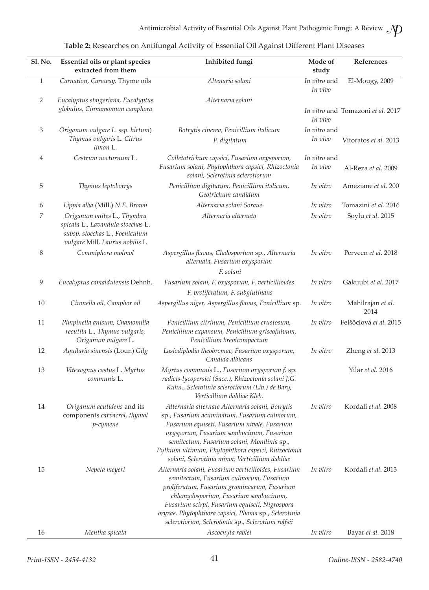| Sl. No.        | <b>Essential oils or plant species</b><br>extracted from them                                                                        | Inhibited fungi                                                                                                                                                                                                                                                                                                                                         | Mode of<br>study        | References                        |
|----------------|--------------------------------------------------------------------------------------------------------------------------------------|---------------------------------------------------------------------------------------------------------------------------------------------------------------------------------------------------------------------------------------------------------------------------------------------------------------------------------------------------------|-------------------------|-----------------------------------|
| $\mathbf{1}$   | Carnation, Caraway, Thyme oils                                                                                                       | Altenaria solani                                                                                                                                                                                                                                                                                                                                        | In vitro and<br>In vivo | El-Mougy, 2009                    |
| $\overline{2}$ | Eucalyptus staigeriana, Eucalyptus<br>globulus, Cinnamomum camphora                                                                  | Alternaria solani                                                                                                                                                                                                                                                                                                                                       | In vivo                 | In vitro and Tomazoni et al. 2017 |
| 3              | Origanum vulgare L. ssp. hirtum)<br>Thymus vulgaris L. Citrus<br>limon L.                                                            | Botrytis cinerea, Penicillium italicum<br>P. digitatum                                                                                                                                                                                                                                                                                                  | In vitro and<br>In vivo | Vitoratos et al. 2013             |
| 4              | Cestrum nocturnum L.                                                                                                                 | Colletotrichum capsici, Fusarium oxysporum,<br>Fusarium solani, Phytophthora capsici, Rhizoctonia<br>solani, Sclerotinia sclerotiorum                                                                                                                                                                                                                   | In vitro and<br>In vivo | Al-Reza et al. 2009               |
| 5              | Thymus leptobotrys                                                                                                                   | Penicillium digitatum, Penicillium italicum,<br>Geotrichum candidum                                                                                                                                                                                                                                                                                     | In vitro                | Ameziane et al. 200               |
| 6              | Lippia alba (Mill.) N.E. Brown                                                                                                       | Alternaria solani Soraue                                                                                                                                                                                                                                                                                                                                | In vitro                | Tomazini et al. 2016              |
| 7              | Origanum onites L., Thymbra<br>spicata L., Lavandula stoechas L.<br>subsp. stoechas L., Foeniculum<br>vulgare Mill. Laurus nobilis L | Alternaria alternata                                                                                                                                                                                                                                                                                                                                    | In vitro                | Soylu et al. 2015                 |
| 8              | Commiphora molmol                                                                                                                    | Aspergillus flavus, Cladosporium sp., Alternaria<br>alternata, Fusarium oxysporum<br>F. solani                                                                                                                                                                                                                                                          | In vitro                | Perveen et al. 2018               |
| 9              | Eucalyptus camaldulensis Dehnh.                                                                                                      | Fusarium solani, F. oxysporum, F. verticillioides<br>F. proliferatum, F. subglutinans                                                                                                                                                                                                                                                                   | In vitro                | Gakuubi et al. 2017               |
| 10             | Cironella oil, Camphor oil                                                                                                           | Aspergillus niger, Aspergillus flavus, Penicillium sp.                                                                                                                                                                                                                                                                                                  | In vitro                | Mahilrajan et al.<br>2014         |
| 11             | Pimpinella anisum, Chamomilla<br>recutita L., Thymus vulgaris,<br>Origanum vulgare L.                                                | Penicillium citrinum, Penicillium crustosum,<br>Penicillium expansum, Penicillium griseofulvum,<br>Penicillium brevicompactum                                                                                                                                                                                                                           | In vitro                | Felšöciová et al. 2015            |
| 12             | Aquilaria sinensis (Lour.) Gilg                                                                                                      | Lasiodiplodia theobromae, Fusarium oxysporum,<br>Candida albicans                                                                                                                                                                                                                                                                                       | In vitro                | Zheng et al. 2013                 |
| 13             | Vitexagnus castus L. Myrtus<br>communis L.                                                                                           | Myrtus communis L., Fusarium oxysporum f. sp.<br>radicis-lycopersici (Sacc.), Rhizoctonia solani J.G.<br>Kuhn., Sclerotinia sclerotiorum (Lib.) de Bary,<br>Verticillium dahliae Kleb.                                                                                                                                                                  |                         | Yilar et al. 2016                 |
| 14             | Origanum acutidens and its<br>components carvacrol, thymol<br>p-cymene                                                               | Alternaria alternate Alternaria solani, Botrytis<br>sp., Fusarium acuminatum, Fusarium culmorum,<br>Fusarium equiseti, Fusarium nivale, Fusarium<br>oxysporum, Fusarium sambucinum, Fusarium<br>semitectum, Fusarium solani, Monilinia sp.,<br>Pythium ultimum, Phytophthora capsici, Rhizoctonia<br>solani, Sclerotinia minor, Verticillium dahliae    | In vitro                | Kordali et al. 2008               |
| 15             | Nepeta meyeri                                                                                                                        | Alternaria solani, Fusarium verticilloides, Fusarium<br>semitectum, Fusarium culmorum, Fusarium<br>proliferatum, Fusarium graminearum, Fusarium<br>chlamydosporium, Fusarium sambucinum,<br>Fusarium scirpi, Fusarium equiseti, Nigrospora<br>oryzae, Phytophthora capsici, Phoma sp., Sclerotinia<br>sclerotiorum, Sclerotonia sp., Sclerotium rolfsii | In vitro                | Kordali et al. 2013               |
| 16             | Mentha spicata                                                                                                                       | Ascochyta rabiei                                                                                                                                                                                                                                                                                                                                        | In vitro                | Bayar et al. 2018                 |

| Table 2: Researches on Antifungal Activity of Essential Oil Against Different Plant Diseases |  |  |  |  |
|----------------------------------------------------------------------------------------------|--|--|--|--|
|----------------------------------------------------------------------------------------------|--|--|--|--|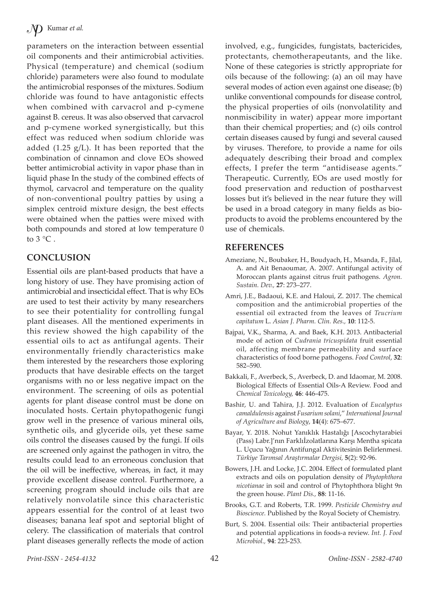parameters on the interaction between essential oil components and their antimicrobial activities. Physical (temperature) and chemical (sodium chloride) parameters were also found to modulate the antimicrobial responses of the mixtures. Sodium chloride was found to have antagonistic effects when combined with carvacrol and p-cymene against B. cereus. It was also observed that carvacrol and p-cymene worked synergistically, but this effect was reduced when sodium chloride was added  $(1.25 \text{ g/L})$ . It has been reported that the combination of cinnamon and clove EOs showed better antimicrobial activity in vapor phase than in liquid phase In the study of the combined effects of thymol, carvacrol and temperature on the quality of non-conventional poultry patties by using a simplex centroid mixture design, the best effects were obtained when the patties were mixed with both compounds and stored at low temperature 0 to  $3^{\circ}$ C.

## **CONCLUSION**

Essential oils are plant-based products that have a long history of use. They have promising action of antimicrobial and insecticidal effect. That is why EOs are used to test their activity by many researchers to see their potentiality for controlling fungal plant diseases. All the mentioned experiments in this review showed the high capability of the essential oils to act as antifungal agents. Their environmentally friendly characteristics make them interested by the researchers those exploring products that have desirable effects on the target organisms with no or less negative impact on the environment. The screening of oils as potential agents for plant disease control must be done on inoculated hosts. Certain phytopathogenic fungi grow well in the presence of various mineral oils, synthetic oils, and glyceride oils, yet these same oils control the diseases caused by the fungi. If oils are screened only against the pathogen in vitro, the results could lead to an erroneous conclusion that the oil will be ineffective, whereas, in fact, it may provide excellent disease control. Furthermore, a screening program should include oils that are relatively nonvolatile since this characteristic appears essential for the control of at least two diseases; banana leaf spot and septorial blight of celery. The classification of materials that control plant diseases generally reflects the mode of action

involved, e.g., fungicides, fungistats, bactericides, protectants, chemotherapeutants, and the like. None of these categories is strictly appropriate for oils because of the following: (a) an oil may have several modes of action even against one disease; (b) unlike conventional compounds for disease control, the physical properties of oils (nonvolatility and nonmiscibility in water) appear more important than their chemical properties; and (c) oils control certain diseases caused by fungi and several caused by viruses. Therefore, to provide a name for oils adequately describing their broad and complex effects, I prefer the term "antidisease agents." Therapeutic. Currently, EOs are used mostly for food preservation and reduction of postharvest losses but it's believed in the near future they will be used in a broad category in many fields as bioproducts to avoid the problems encountered by the use of chemicals.

#### **REFERENCES**

- Ameziane, N., Boubaker, H., Boudyach, H., Msanda, F., Jilal, A. and Ait Benaoumar, A. 2007. Antifungal activity of Moroccan plants against citrus fruit pathogens. *Agron. Sustain. Dev.,* **27**: 273–277.
- Amri, J.E., Badaoui, K.E. and Haloui, Z. 2017. The chemical composition and the antimicrobial properties of the essential oil extracted from the leaves of *Teucrium capitatum* L. *Asian J. Pharm. Clin. Res.,* **10**: 112-5.
- Bajpai, V.K., Sharma, A. and Baek, K.H. 2013. Antibacterial mode of action of *Cudrania tricuspidata* fruit essential oil, affecting membrane permeability and surface characteristics of food borne pathogens. *Food Control*, **32**: 582–590.
- Bakkali, F., Averbeck, S., Averbeck, D. and Idaomar, M. 2008. Biological Effects of Essential Oils-A Review. Food and *Chemical Toxicology,* **46**: 446-475.
- Bashir, U. and Tahira, J.J. 2012. Evaluation of *Eucalyptus camaldulensis* against *Fusarium solani*," *International Journal of Agriculture and Biology*, **14**(4): 675–677.
- Bayar, Y. 2018. Nohut Yanıklık Hastalığı [Ascochytarabiei (Pass) Labr.]'nın Farklıİzolatlarına Karşı Mentha spicata L. Uçucu Yağının Antifungal Aktivitesinin Belirlenmesi. *Türkiye Tarımsal Araştırmalar Dergisi,* **5**(2): 92-96.
- Bowers, J.H. and Locke, J.C. 2004. Effect of formulated plant extracts and oils on population density of *Phytophthora nicotianae* in soil and control of Phytophthora blight 9n the green house. *Plant Dis.,* **88**: 11-16.
- Brooks, G.T. and Roberts, T.R. 1999. *Pesticide Chemistry and Bioscience.* Published by the Royal Society of Chemistry.
- Burt, S. 2004. Essential oils: Their antibacterial properties and potential applications in foods-a review. *Int. J. Food Microbiol.,* **94**: 223-253.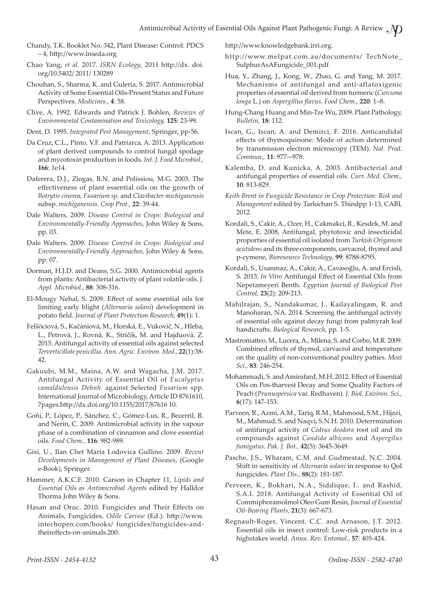- Chandy, T.K. Booklet No. 342, Plant Disease: Control: PDCS – 4, http://www.inseda.org
- Chao Yang, *et al.* 2017. *ISRN Ecology*, 2011 http://dx. doi. org/10.5402/ 2011/ 130289
- Chouhan, S., Sharma, K. and Guleria, S. 2017. Antimicrobial Activity of Some Essential Oils-Present Status and Future Perspectives. *Medicines.,* **4**: 58.
- Clive, A. 1992. Edwards and Patrick J. Bohlen, *Reviews of Environmental Contamination and Toxicology,* **125**: 23-99.
- Dent, D. 1995. *Integrated Pest Management*, Springer, pp-56.
- Da Cruz, C.L., Pinto, V.F. and Patriarca, A. 2013. Application of plant derived compounds to control fungal spoilage and mycotoxin production in foods. *Int. J. Food Microbiol.,* **166**: 1e14.
- Daferera, D.J., Ziogas, B.N. and Polissiou, M.G. 2003. The effectiveness of plant essential oils on the growth of *Botrytis cinerea, Fusarium sp*. and *Clavibacter michiganensis* subsp. *michiganensis*. *Crop Prot.,* **22**: 39-44.
- Dale Walters, 2009. *Disease Control in Crops: Biological and Environmentally-Friendly Approaches*, John Wiley & Sons, pp. 03.
- Dale Walters. 2009. *Disease Control in Crops: Biological and Environmentally-Friendly Approaches,* John Wiley & Sons, pp. 07.
- Dorman, H.J.D. and Deans, S.G. 2000. Antimicrobial agents from plants: Antibacterial activity of plant volatile oils. *J. Appl. Microbiol.,* **88**: 308-316.
- El-Mougy Nehal, S. 2009. Effect of some essential oils for limiting early blight (*Alternaria solani*) development in potato field. *Journal of Plant Protection Research,* **49**(1): 1.
- Felšöciová, S., Kačániová, M., Horská, E., Vukovič, N., Hleba, L., Petrová, J., Rovná, K., Stričík, M. and Hajduová, Z. 2015. Antifungal activity of essential oils against selected *Terverticillate penicillia. Ann. Agric. Environ. Med.,* **22**(1):38- 42.
- Gakuubi, M.M., Maina, A.W. and Wagacha, J.M. 2017. Antifungal Activity of Essential Oil of *Eucalyptus camaldulensis Dehnh.* against Selected *Fusarium* spp. International Journal of Microbiology, Article ID 8761610, 7pages.http://dx.doi.org/10.1155/2017/87616 10.
- Goñi, P., López, P., Sánchez, C., Gómez-Lus, R., Becerril, R. and Nerín, C. 2009. Antimicrobial activity in the vapour phase of a combination of cinnamon and clove essential oils. *Food Chem.,* **116**: 982-989.
- Gisi, U., Ilan Chet Maria Lodovica Gullino. 2009. *Recent Developments in Management of Plant Diseases*, (Google e-Book), Springer.
- Hammer, A.K.C.F. 2010. Carson in Chapter 11, *Lipids and Essential Oils as Antimicrobial Agents* edited by Halldor Thorma John Wiley & Sons.
- Hasan and Oruc. 2010. Fungicides and Their Effects on Animals, Fungicides, *Odile Carisse* (Ed.). http://www. intechopen.com/books/ fungicides/fungicides-andtheireffects-on-animals.200.

http://www.knowledgebank.irri.org.

- http://www.melpat.com.au/documents/ TechNote\_ SulphurAsAFungicide\_001.pdf
- Hua, Y., Zhang, J., Kong, W., Zhao, G. and Yang, M. 2017. Mechanisms of antifungal and anti-aflatoxigenic properties of essential oil derived from turmeric (*Curcuma longa* L.) on *Aspergillus flavus. Food Chem.,* **220**: 1–8.
- Hung-Chang Huang and Min-Tze Wu, 2009. Plant Pathology, *Bulletin,* **18**: 112.
- Iscan, G., Iscan, A. and Demirci, F. 2016. Anticandidal effects of thymoquinone: Mode of action determined by transmission electron microscopy (TEM). *Nat. Prod. Commun.,* **11**: 977–-978.
- Kalemba, D. and Kunicka, A. 2003. Antibacterial and antifungal properties of essential oils. *Curr. Med. Chem.,* **10**: 813-829.
- *Keith Brent in Fungicide Resistance in Crop Protection: Risk and Management* edited by Tarlochan S. Thindpp 1-13, CABI, 2012.
- Kordali, S., Cakir, A., Ozer, H., Cakmakci, R., Kesdek, M. and Mete, E. 2008, Antifungal, phytotoxic and insecticidal proporties of essential oil isolated from *Turkish Origanum acutidens* and its three components, carvacrol, thymol and p-cymene, *Bioresource Technology*, **99**: 8788-8795.
- Kordali, S., Usanmaz, A., Cakir, A., Cavasoğlu, A. and Ercisli, S. 2013. *In Vitro* Antifungal Effect of Essential Oils from Nepetameyeri Benth. *Egyptian Journal of Biological Pest Control*, **23**(2): 209-213.
- Mahilrajan, S., Nandakumar, J., Kailayalingam, R. and Manoharan, NA. 2014. Screening the antifungal activity of essential oils against decay fungi from palmyrah leaf handicrafts. *Biological Research*, pp. 1-5.
- Mastromatteo, M., Lucera, A., Milena, S. and Corbo, M.R. 2009. Combined effects of thymol, carvacrol and temperature on the quality of non-conventional poultry patties. *Meat Sci.,* **83**: 246-254.
- Mohammadi, S. and Aminifard, M.H. 2012. Effect of Essential Oils on Pos-tharvest Decay and Some Quality Factors of Peach (*Prunuspersica* var. Redhaven). *J. Biol. Environ. Sci.,* **6**(17): 147-153.
- Parveen, R., Azmi, A.M., Tariq, R.M., Mahmood, S.M., Hijazi, M., Mahmud, S. and Naqvi, S.N.H. 2010. Deterrmination of antifungal activity of *Cedrus deodora* root oil and its compounds against *Candida albicans* and *Aspergilus fumigatus*. *Pak. J. Bot.,* **42**(5): 3645-3649.
- Pasche, J.S., Wharam, C.M. and Gudmestad, N.C. 2004. Shift in sensitivity of *Alternaria solani* in response to QoI fungicides. *Plant Dis.,* **88**(2): 181-187.
- Perveen, K., Bokhari, N.A., Siddique, I.. and Rashid, S.A.I. 2018. Antifungal Activity of Essential Oil of Commiphoramolmol Oleo Gum Resin, *Journal of Essential Oil-Bearing Plants,* **21**(3): 667-673.
- Regnault-Roger, Vincent, C.C. and Arnason, J.T. 2012. Essential oils in insect control: Low-risk products in a highstakes world. *Annu. Rev. Entomol.,* **57**: 405-424.